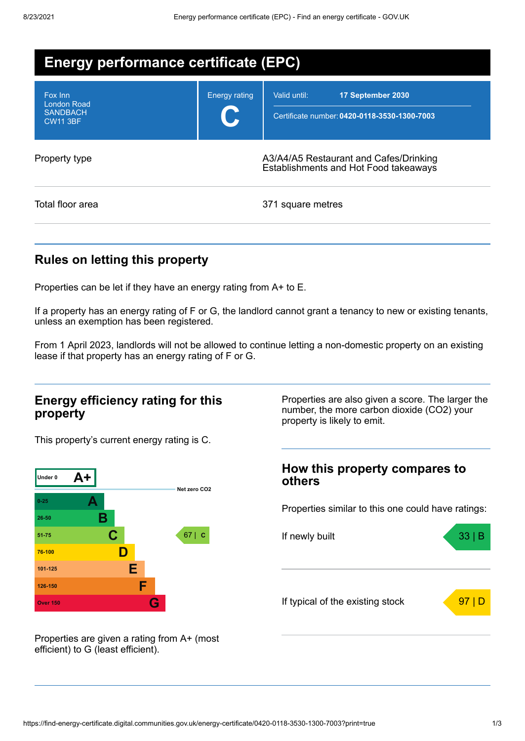| <b>Energy performance certificate (EPC)</b>                         |                      |                                                                                   |  |
|---------------------------------------------------------------------|----------------------|-----------------------------------------------------------------------------------|--|
| Fox Inn<br><b>London Road</b><br><b>SANDBACH</b><br><b>CW11 3BF</b> | <b>Energy rating</b> | Valid until:<br>17 September 2030<br>Certificate number: 0420-0118-3530-1300-7003 |  |
| Property type                                                       |                      | A3/A4/A5 Restaurant and Cafes/Drinking<br>Establishments and Hot Food takeaways   |  |
| Total floor area                                                    |                      | 371 square metres                                                                 |  |

## **Rules on letting this property**

Properties can be let if they have an energy rating from A+ to E.

If a property has an energy rating of F or G, the landlord cannot grant a tenancy to new or existing tenants, unless an exemption has been registered.

From 1 April 2023, landlords will not be allowed to continue letting a non-domestic property on an existing lease if that property has an energy rating of F or G.

### **Energy efficiency rating for this property**

This property's current energy rating is C.



Properties are also given a score. The larger the number, the more carbon dioxide (CO2) your property is likely to emit.

# **How this property compares to others** Properties similar to this one could have ratings: If newly built a set of the set of the set of the set of the set of the set of the set of the set of the set of the set of the set of the set of the set of the set of the set of the set of the set of the set of the set of If typical of the existing stock  $\sqrt{97}$  D

Properties are given a rating from A+ (most efficient) to G (least efficient).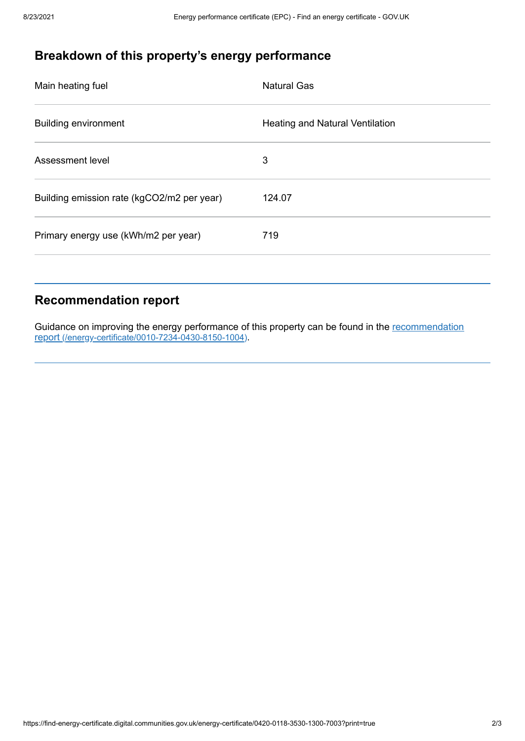## **Breakdown of this property's energy performance**

| Main heating fuel                          | <b>Natural Gas</b>              |
|--------------------------------------------|---------------------------------|
| <b>Building environment</b>                | Heating and Natural Ventilation |
| Assessment level                           | 3                               |
| Building emission rate (kgCO2/m2 per year) | 124.07                          |
| Primary energy use (kWh/m2 per year)       | 719                             |
|                                            |                                 |

## **Recommendation report**

Guidance on improving the energy performance of this property can be found in the recommendation report [\(/energy-certificate/0010-7234-0430-8150-1004\)](https://find-energy-certificate.digital.communities.gov.uk/energy-certificate/0010-7234-0430-8150-1004).